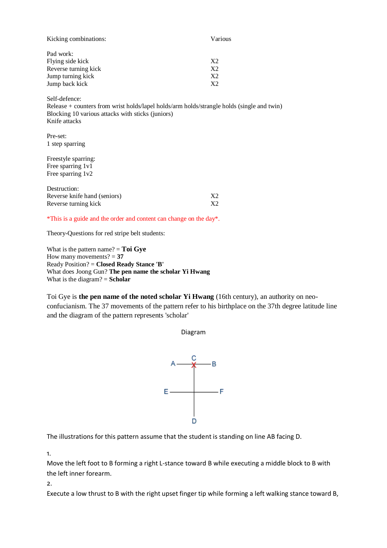| Kicking combinations:                                                      | Various        |
|----------------------------------------------------------------------------|----------------|
| Pad work:                                                                  |                |
| Flying side kick                                                           | X <sub>2</sub> |
| Reverse turning kick                                                       | X <sub>2</sub> |
| Jump turning kick                                                          | X2             |
| Jump back kick                                                             | X2             |
| Self-defence:                                                              |                |
| Release + counters from wrist holds/lapel holds/arm holds/strangle holds ( |                |

gle holds (single and twin) Blocking 10 various attacks with sticks (juniors) Knife attacks

Pre-set: 1 step sparring

Freestyle sparring: Free sparring 1v1 Free sparring 1v2

| Destruction:                 |    |
|------------------------------|----|
| Reverse knife hand (seniors) | X2 |
| Reverse turning kick         | X2 |

\*This is a guide and the order and content can change on the day\*.

Theory-Questions for red stripe belt students:

What is the pattern name? = **Toi Gye** How many movements?  $= 37$ Ready Position? = **Closed Ready Stance 'B'** What does Joong Gun? **The pen name the scholar Yi Hwang** What is the diagram? = **Scholar**

Toi Gye is **the pen name of the noted scholar Yi Hwang** (16th century), an authority on neoconfucianism. The 37 movements of the pattern refer to his birthplace on the 37th degree latitude line and the diagram of the pattern represents 'scholar'

Diagram



The illustrations for this pattern assume that the student is standing on line AB facing D.

1.

Move the left foot to B forming a right L-stance toward B while executing a middle block to B with the left inner forearm.

2.

Execute a low thrust to B with the right upset finger tip while forming a left walking stance toward B,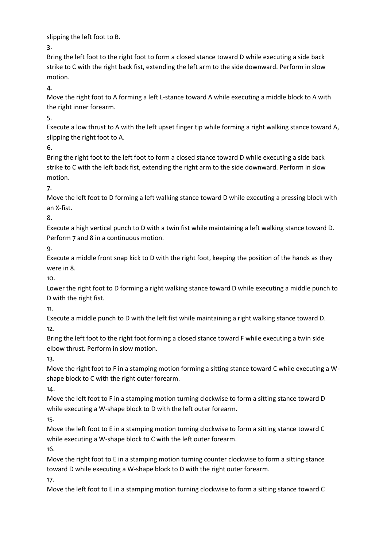slipping the left foot to B.

3.

Bring the left foot to the right foot to form a closed stance toward D while executing a side back strike to C with the right back fist, extending the left arm to the side downward. Perform in slow motion.

4.

Move the right foot to A forming a left L-stance toward A while executing a middle block to A with the right inner forearm.

5.

Execute a low thrust to A with the left upset finger tip while forming a right walking stance toward A, slipping the right foot to A.

6.

Bring the right foot to the left foot to form a closed stance toward D while executing a side back strike to C with the left back fist, extending the right arm to the side downward. Perform in slow motion.

7.

Move the left foot to D forming a left walking stance toward D while executing a pressing block with an X-fist.

8.

Execute a high vertical punch to D with a twin fist while maintaining a left walking stance toward D. Perform 7 and 8 in a continuous motion.

9.

Execute a middle front snap kick to D with the right foot, keeping the position of the hands as they were in 8.

10.

Lower the right foot to D forming a right walking stance toward D while executing a middle punch to D with the right fist.

11.

Execute a middle punch to D with the left fist while maintaining a right walking stance toward D. 12.

Bring the left foot to the right foot forming a closed stance toward F while executing a twin side elbow thrust. Perform in slow motion.

13.

Move the right foot to F in a stamping motion forming a sitting stance toward C while executing a Wshape block to C with the right outer forearm.

14.

Move the left foot to F in a stamping motion turning clockwise to form a sitting stance toward D while executing a W-shape block to D with the left outer forearm.

15.

Move the left foot to E in a stamping motion turning clockwise to form a sitting stance toward C while executing a W-shape block to C with the left outer forearm.

16.

Move the right foot to E in a stamping motion turning counter clockwise to form a sitting stance toward D while executing a W-shape block to D with the right outer forearm. 17.

Move the left foot to E in a stamping motion turning clockwise to form a sitting stance toward C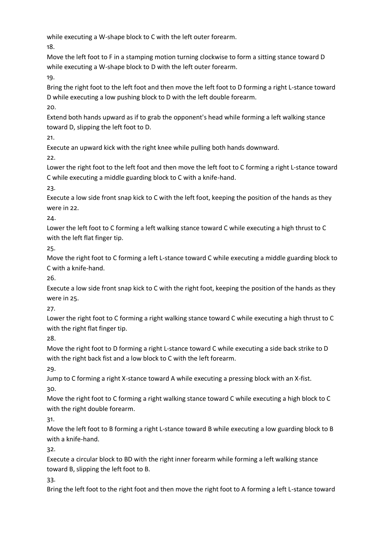while executing a W-shape block to C with the left outer forearm.

18.

Move the left foot to F in a stamping motion turning clockwise to form a sitting stance toward D while executing a W-shape block to D with the left outer forearm.

19.

Bring the right foot to the left foot and then move the left foot to D forming a right L-stance toward D while executing a low pushing block to D with the left double forearm.

20.

Extend both hands upward as if to grab the opponent's head while forming a left walking stance toward D, slipping the left foot to D.

21.

Execute an upward kick with the right knee while pulling both hands downward.

22.

Lower the right foot to the left foot and then move the left foot to C forming a right L-stance toward C while executing a middle guarding block to C with a knife-hand.

23.

Execute a low side front snap kick to C with the left foot, keeping the position of the hands as they were in 22.

24.

Lower the left foot to C forming a left walking stance toward C while executing a high thrust to C with the left flat finger tip.

25.

Move the right foot to C forming a left L-stance toward C while executing a middle guarding block to C with a knife-hand.

26.

Execute a low side front snap kick to C with the right foot, keeping the position of the hands as they were in 25.

27.

Lower the right foot to C forming a right walking stance toward C while executing a high thrust to C with the right flat finger tip.

28.

Move the right foot to D forming a right L-stance toward C while executing a side back strike to D with the right back fist and a low block to C with the left forearm.

29.

Jump to C forming a right X-stance toward A while executing a pressing block with an X-fist. 30.

Move the right foot to C forming a right walking stance toward C while executing a high block to C with the right double forearm.

31.

Move the left foot to B forming a right L-stance toward B while executing a low guarding block to B with a knife-hand.

32.

Execute a circular block to BD with the right inner forearm while forming a left walking stance toward B, slipping the left foot to B.

33.

Bring the left foot to the right foot and then move the right foot to A forming a left L-stance toward